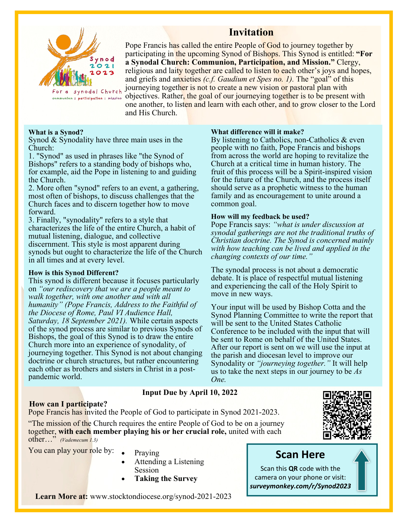

## **Invitation**

Pope Francis has called the entire People of God to journey together by participating in the upcoming Synod of Bishops. This Synod is entitled: **"For a Synodal Church: Communion, Participation, and Mission."** Clergy, religious and laity together are called to listen to each other's joys and hopes, and griefs and anxieties *(c.f. Gaudium et Spes no. 1).* The "goal" of this journeying together is not to create a new vision or pastoral plan with communion I participation | mission objectives. Rather, the goal of our journeying together is to be present with one another, to listen and learn with each other, and to grow closer to the Lord and His Church.

### **What is a Synod?**

Synod & Synodality have three main uses in the Church:

1. "Synod" as used in phrases like "the Synod of Bishops" refers to a standing body of bishops who, for example, aid the Pope in listening to and guiding the Church.

2. More often "synod" refers to an event, a gathering, most often of bishops, to discuss challenges that the Church faces and to discern together how to move forward.

3. Finally, "synodality" refers to a style that characterizes the life of the entire Church, a habit of mutual listening, dialogue, and collective discernment. This style is most apparent during synods but ought to characterize the life of the Church in all times and at every level.

### **How is this Synod Different?**

This synod is different because it focuses particularly on *"our rediscovery that we are a people meant to walk together, with one another and with all humanity" (Pope Francis, Address to the Faithful of the Diocese of Rome, Paul VI Audience Hall, Saturday, 18 September 2021).* While certain aspects of the synod process are similar to previous Synods of Bishops, the goal of this Synod is to draw the entire Church more into an experience of synodality, of journeying together. This Synod is not about changing doctrine or church structures, but rather encountering each other as brothers and sisters in Christ in a postpandemic world.

### **What difference will it make?**

By listening to Catholics, non-Catholics & even people with no faith, Pope Francis and bishops from across the world are hoping to revitalize the Church at a critical time in human history. The fruit of this process will be a Spirit-inspired vision for the future of the Church, and the process itself should serve as a prophetic witness to the human family and as encouragement to unite around a common goal.

### **How will my feedback be used?**

Pope Francis says: *"what is under discussion at synodal gatherings are not the traditional truths of Christian doctrine. The Synod is concerned mainly with how teaching can be lived and applied in the changing contexts of our time."* 

The synodal process is not about a democratic debate. It is place of respectful mutual listening and experiencing the call of the Holy Spirit to move in new ways.

Your input will be used by Bishop Cotta and the Synod Planning Committee to write the report that will be sent to the United States Catholic Conference to be included with the input that will be sent to Rome on behalf of the United States. After our report is sent on we will use the input at the parish and diocesan level to improve our Synodality or *"journeying together."* It will help us to take the next steps in our journey to be *As One.*

## **Input Due by April 10, 2022**

### **How can I participate?**

Pope Francis has invited the People of God to participate in Synod 2021-2023.

"The mission of the Church requires the entire People of God to be on a journey together, **with each member playing his or her crucial role,** united with each other…" *(Vademecum 1.3)*

You can play your role by: • Praying

- 
- Attending a Listening Session
- **Taking the Survey**

# **Scan Here**

Scan this **QR** code with the camera on your phone or visit: *surveymonkey.com/r/Synod2023*

**Learn More at:** w[ww.stocktondiocese.org/synod](http://www.stocktondiocese.org/synod-2021-2023)-2021-2023